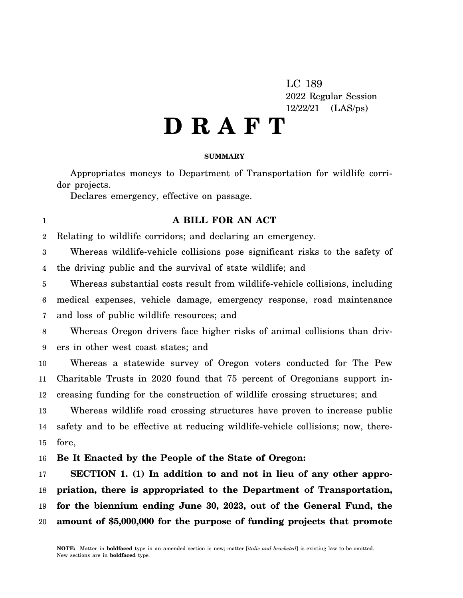LC 189 2022 Regular Session 12/22/21 (LAS/ps)

## **D R A F T**

## **SUMMARY**

Appropriates moneys to Department of Transportation for wildlife corridor projects.

Declares emergency, effective on passage.

## 1

## **A BILL FOR AN ACT**

2 Relating to wildlife corridors; and declaring an emergency.

3 4 Whereas wildlife-vehicle collisions pose significant risks to the safety of the driving public and the survival of state wildlife; and

5 6 7 Whereas substantial costs result from wildlife-vehicle collisions, including medical expenses, vehicle damage, emergency response, road maintenance and loss of public wildlife resources; and

8 9 Whereas Oregon drivers face higher risks of animal collisions than drivers in other west coast states; and

10 11 12 Whereas a statewide survey of Oregon voters conducted for The Pew Charitable Trusts in 2020 found that 75 percent of Oregonians support increasing funding for the construction of wildlife crossing structures; and

13 14 15 Whereas wildlife road crossing structures have proven to increase public safety and to be effective at reducing wildlife-vehicle collisions; now, therefore,

16 **Be It Enacted by the People of the State of Oregon:**

17 18 19 20 **SECTION 1. (1) In addition to and not in lieu of any other appropriation, there is appropriated to the Department of Transportation, for the biennium ending June 30, 2023, out of the General Fund, the amount of \$5,000,000 for the purpose of funding projects that promote**